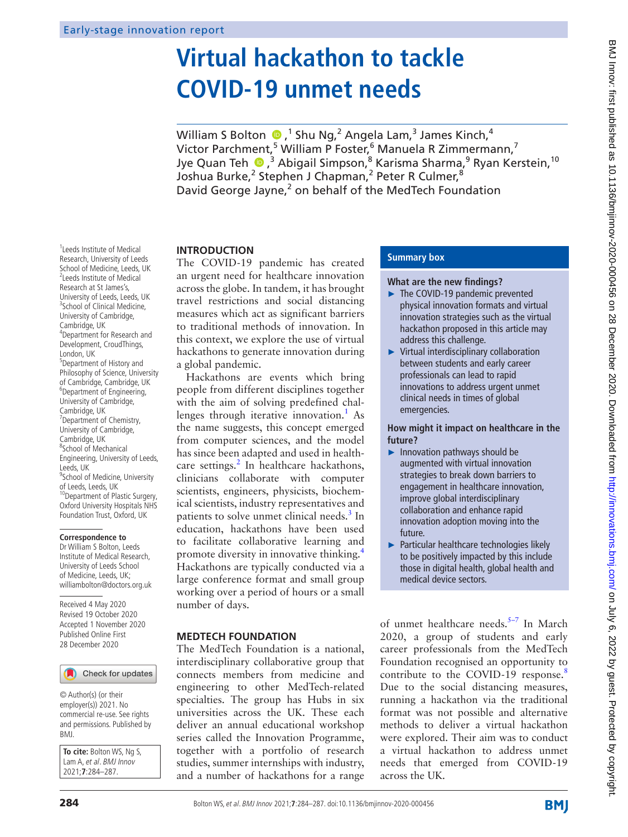# **Virtual hackathon to tackle COVID-19 unmet needs**

William S Bolton  $\bigcirc$  ,<sup>1</sup> Shu Ng,<sup>2</sup> Angela Lam,<sup>3</sup> James Kinch,<sup>4</sup> Victor Parchment,<sup>5</sup> William P Foster,<sup>6</sup> Manuela R Zimmermann,<sup>7</sup> Jye Quan Teh ��,<sup>3</sup> Abigail Simpson,<sup>8</sup> Karisma Sharma,<sup>9</sup> Ryan Kerstein, <sup>10</sup> Joshua Burke,<sup>2</sup> Stephen J Chapman,<sup>2</sup> Peter R Culmer,<sup>8</sup> David George Jayne,<sup>2</sup> on behalf of the MedTech Foundation

# **INTRODUCTION**

The COVID-19 pandemic has created an urgent need for healthcare innovation across the globe. In tandem, it has brought travel restrictions and social distancing measures which act as significant barriers to traditional methods of innovation. In this context, we explore the use of virtual hackathons to generate innovation during a global pandemic.

Hackathons are events which bring people from different disciplines together with the aim of solving predefined chal-lenges through iterative innovation.<sup>[1](#page-3-0)</sup> As the name suggests, this concept emerged from computer sciences, and the model has since been adapted and used in health-care settings.<sup>[2](#page-3-1)</sup> In healthcare hackathons, clinicians collaborate with computer scientists, engineers, physicists, biochemical scientists, industry representatives and patients to solve unmet clinical needs.<sup>3</sup> In education, hackathons have been used to facilitate collaborative learning and promote diversity in innovative thinking.[4](#page-3-3) Hackathons are typically conducted via a large conference format and small group working over a period of hours or a small number of days.

# **MEDTECH FOUNDATION**

The MedTech Foundation is a national, interdisciplinary collaborative group that connects members from medicine and engineering to other MedTech-related specialties. The group has Hubs in six universities across the UK. These each deliver an annual educational workshop series called the Innovation Programme, together with a portfolio of research studies, summer internships with industry, and a number of hackathons for a range

# **Summary box**

# **What are the new findings?**

- ► The COVID-19 pandemic prevented physical innovation formats and virtual innovation strategies such as the virtual hackathon proposed in this article may address this challenge.
- ► Virtual interdisciplinary collaboration between students and early career professionals can lead to rapid innovations to address urgent unmet clinical needs in times of global emergencies.

# **How might it impact on healthcare in the future?**

- ► Innovation pathways should be augmented with virtual innovation strategies to break down barriers to engagement in healthcare innovation, improve global interdisciplinary collaboration and enhance rapid innovation adoption moving into the future.
- ► Particular healthcare technologies likely to be positively impacted by this include those in digital health, global health and medical device sectors.

of unmet healthcare needs.<sup>5-7</sup> In March 2020, a group of students and early career professionals from the MedTech Foundation recognised an opportunity to contribute to the COVID-19 response.<sup>[8](#page-3-5)</sup> Due to the social distancing measures, running a hackathon via the traditional format was not possible and alternative methods to deliver a virtual hackathon were explored. Their aim was to conduct a virtual hackathon to address unmet needs that emerged from COVID-19 across the UK.

1 Leeds Institute of Medical Research, University of Leeds School of Medicine, Leeds, UK 2 Leeds Institute of Medical Research at St James's, University of Leeds, Leeds, UK <sup>3</sup>School of Clinical Medicine, University of Cambridge, Cambridge, UK 4 Department for Research and Development, CroudThings, London, UK <sup>5</sup>Department of History and Philosophy of Science, University of Cambridge, Cambridge, UK 6 Department of Engineering, University of Cambridge, Cambridge, UK <sup>7</sup> Department of Chemistry, University of Cambridge, Cambridge, UK 8 School of Mechanical Engineering, University of Leeds, Leeds, UK <sup>9</sup> School of Medicine, University of Leeds, Leeds, UK<br><sup>10</sup>Department of Plastic Surgery, Oxford University Hospitals NHS Foundation Trust, Oxford, UK

# **Correspondence to**

Dr William S Bolton, Leeds Institute of Medical Research, University of Leeds School of Medicine, Leeds, UK; williambolton@doctors.org.uk

Received 4 May 2020 Revised 19 October 2020 Accepted 1 November 2020 Published Online First 28 December 2020

# Check for updates

© Author(s) (or their employer(s)) 2021. No commercial re-use. See rights and permissions. Published by BMJ.

**To cite:** Bolton WS, Ng S, Lam A, et al. BMJ Innov 2021;**7**:284–287.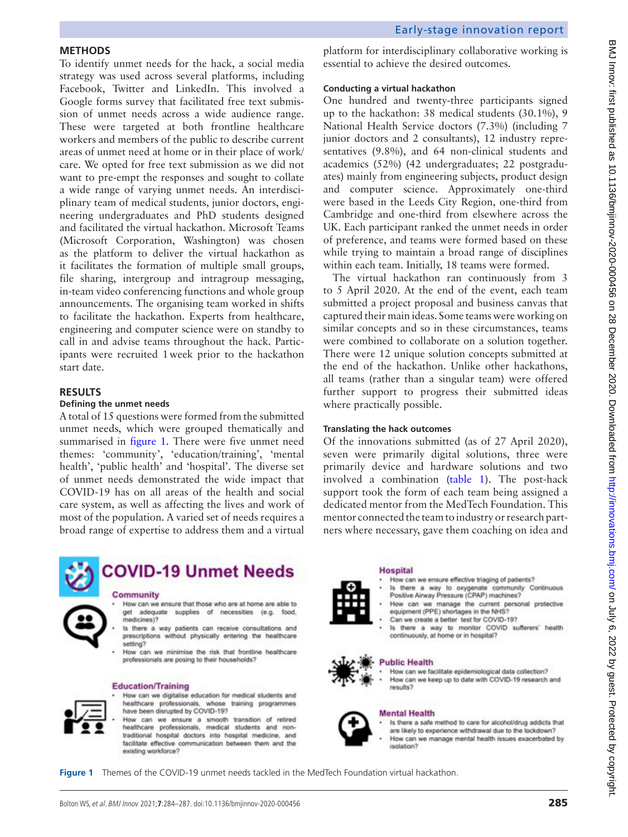# BMJ Innov: first published as 10.11136/bmjinnov-2020-000456 on 28 December 2020. Downloaded from http://innovations.bmj.com/ on July 6, 2022 by guest. Protected by copyright BMJ Innov: first published as 10.1136/bmjinnov-2020-000456 on 28 December 2020. Downloaded from thp://innovations.bmj.com/ BMJ Innov. first published as 10.1136/bmjinnov-2020-000456 on 28 December 2020. Downloaded from 202

# **METHODS**

To identify unmet needs for the hack, a social media strategy was used across several platforms, including Facebook, Twitter and LinkedIn. This involved a Google forms survey that facilitated free text submission of unmet needs across a wide audience range. These were targeted at both frontline healthcare workers and members of the public to describe current areas of unmet need at home or in their place of work/ care. We opted for free text submission as we did not want to pre-empt the responses and sought to collate a wide range of varying unmet needs. An interdisciplinary team of medical students, junior doctors, engineering undergraduates and PhD students designed and facilitated the virtual hackathon. Microsoft Teams (Microsoft Corporation, Washington) was chosen as the platform to deliver the virtual hackathon as it facilitates the formation of multiple small groups, file sharing, intergroup and intragroup messaging, in-team video conferencing functions and whole group announcements. The organising team worked in shifts to facilitate the hackathon. Experts from healthcare, engineering and computer science were on standby to call in and advise teams throughout the hack. Participants were recruited 1week prior to the hackathon start date.

# **RESULTS**

# **Defining the unmet needs**

A total of 15 questions were formed from the submitted unmet needs, which were grouped thematically and summarised in [figure](#page-1-0) 1. There were five unmet need themes: 'community', 'education/training', 'mental health', 'public health' and 'hospital'. The diverse set of unmet needs demonstrated the wide impact that COVID-19 has on all areas of the health and social care system, as well as affecting the lives and work of most of the population. A varied set of needs requires a broad range of expertise to address them and a virtual



# **COVID-19 Unmet Needs**

# Community

How can we ensure that those who are at home are able to get adequate supplies of necessities (e.g. food, medicines)?

- Is there a way patients can receive consultations and prescriptions without physically entering the healthcare setting?
- How can we minimise the risk that frontline healthcare professionals are posing to their households?

## **Education/Training**



How can we digitalise education for medical students and healthcare professionals, whose training programmes have been disrupted by COVID-19?

How can we ensure a smooth transition of retired healthcare professionals, medical students and nontraditional hospital doctors into hospital medicine, and facilitate effective communication between them and the existing workforce?

platform for interdisciplinary collaborative working is essential to achieve the desired outcomes.

# **Conducting a virtual hackathon**

One hundred and twenty-three participants signed up to the hackathon: 38 medical students (30.1%), 9 National Health Service doctors (7.3%) (including 7 junior doctors and 2 consultants), 12 industry representatives (9.8%), and 64 non-clinical students and academics (52%) (42 undergraduates; 22 postgraduates) mainly from engineering subjects, product design and computer science. Approximately one-third were based in the Leeds City Region, one-third from Cambridge and one-third from elsewhere across the UK. Each participant ranked the unmet needs in order of preference, and teams were formed based on these while trying to maintain a broad range of disciplines within each team. Initially, 18 teams were formed.

The virtual hackathon ran continuously from 3 to 5 April 2020. At the end of the event, each team submitted a project proposal and business canvas that captured their main ideas. Some teams were working on similar concepts and so in these circumstances, teams were combined to collaborate on a solution together. There were 12 unique solution concepts submitted at the end of the hackathon. Unlike other hackathons, all teams (rather than a singular team) were offered further support to progress their submitted ideas where practically possible.

# **Translating the hack outcomes**

Of the innovations submitted (as of 27 April 2020), seven were primarily digital solutions, three were primarily device and hardware solutions and two involved a combination ([table](#page-2-0) 1). The post-hack support took the form of each team being assigned a dedicated mentor from the MedTech Foundation. This mentor connected the team to industry or research partners where necessary, gave them coaching on idea and



**Hospital** 

- How can we ensure effective triaging of patients?
- Is there a way to oxygenate community Continuous<br>Positive Airway Pressure (CPAP) machines?
- How can we manage the current personal protective equipment (PPE) shortages in the NHS? Can we create a better test for COVID-197
- Is there a way to monitor COVID sufferers' health continuously, at home or in hospital?

# **Public Health**



How can we facilitate epidemiological data collection? How can we keep up to date with COVID-19 research and results?



**Mental Health** 

Is there a safe method to care for alcohol/drug addicts that are likely to experience withdrawal due to the lockdown? How can we manage mental health issues exacerbated by isolation?

<span id="page-1-0"></span>**Figure 1** Themes of the COVID-19 unmet needs tackled in the MedTech Foundation virtual hackathon.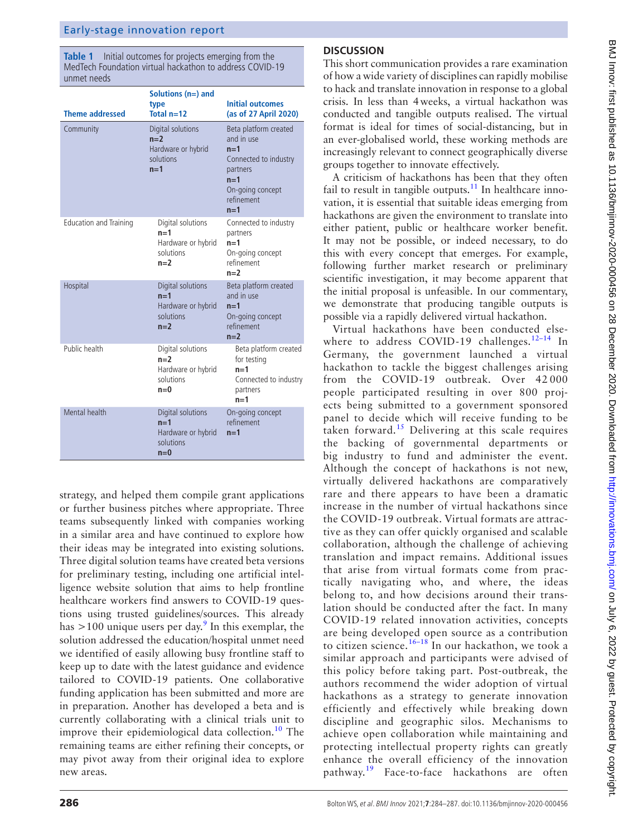<span id="page-2-0"></span>**Table 1** Initial outcomes for projects emerging from the MedTech Foundation virtual hackathon to address COVID-19 unmet needs

| <b>Theme addressed</b>        | Solutions $(n=)$ and<br>type<br>Total $n=12$                           | <b>Initial outcomes</b><br>(as of 27 April 2020)                                                                                      |
|-------------------------------|------------------------------------------------------------------------|---------------------------------------------------------------------------------------------------------------------------------------|
| Community                     | Digital solutions<br>$n=2$<br>Hardware or hybrid<br>solutions<br>$n=1$ | Beta platform created<br>and in use<br>$n=1$<br>Connected to industry<br>partners<br>$n=1$<br>On-going concept<br>refinement<br>$n=1$ |
| <b>Education and Training</b> | Digital solutions<br>$n=1$<br>Hardware or hybrid<br>solutions<br>$n=2$ | Connected to industry<br>partners<br>$n=1$<br>On-going concept<br>refinement<br>$n=2$                                                 |
| Hospital                      | Digital solutions<br>$n=1$<br>Hardware or hybrid<br>solutions<br>$n=2$ | Beta platform created<br>and in use<br>$n=1$<br>On-going concept<br>refinement<br>$n=2$                                               |
| Public health                 | Digital solutions<br>$n=2$<br>Hardware or hybrid<br>solutions<br>$n=0$ | Beta platform created<br>for testing<br>$n=1$<br>Connected to industry<br>partners<br>$n=1$                                           |
| Mental health                 | Digital solutions<br>$n=1$<br>Hardware or hybrid<br>solutions<br>$n=0$ | On-going concept<br>refinement<br>$n=1$                                                                                               |

strategy, and helped them compile grant applications or further business pitches where appropriate. Three teams subsequently linked with companies working in a similar area and have continued to explore how their ideas may be integrated into existing solutions. Three digital solution teams have created beta versions for preliminary testing, including one artificial intelligence website solution that aims to help frontline healthcare workers find answers to COVID-19 questions using trusted guidelines/sources. This already has  $>$ 100 unique users per day.<sup>[9](#page-3-6)</sup> In this exemplar, the solution addressed the education/hospital unmet need we identified of easily allowing busy frontline staff to keep up to date with the latest guidance and evidence tailored to COVID-19 patients. One collaborative funding application has been submitted and more are in preparation. Another has developed a beta and is currently collaborating with a clinical trials unit to improve their epidemiological data collection.<sup>10</sup> The remaining teams are either refining their concepts, or may pivot away from their original idea to explore new areas.

# **DISCUSSION**

This short communication provides a rare examination of how a wide variety of disciplines can rapidly mobilise to hack and translate innovation in response to a global crisis. In less than 4weeks, a virtual hackathon was conducted and tangible outputs realised. The virtual format is ideal for times of social-distancing, but in an ever-globalised world, these working methods are increasingly relevant to connect geographically diverse groups together to innovate effectively.

A criticism of hackathons has been that they often fail to result in tangible outputs. $11$  In healthcare innovation, it is essential that suitable ideas emerging from hackathons are given the environment to translate into either patient, public or healthcare worker benefit. It may not be possible, or indeed necessary, to do this with every concept that emerges. For example, following further market research or preliminary scientific investigation, it may become apparent that the initial proposal is unfeasible. In our commentary, we demonstrate that producing tangible outputs is possible via a rapidly delivered virtual hackathon.

Virtual hackathons have been conducted else-where to address COVID-19 challenges.<sup>[12–14](#page-3-9)</sup> In Germany, the government launched a virtual hackathon to tackle the biggest challenges arising from the COVID-19 outbreak. Over 42 000 people participated resulting in over 800 projects being submitted to a government sponsored panel to decide which will receive funding to be taken forward.<sup>15</sup> Delivering at this scale requires the backing of governmental departments or big industry to fund and administer the event. Although the concept of hackathons is not new, virtually delivered hackathons are comparatively rare and there appears to have been a dramatic increase in the number of virtual hackathons since the COVID-19 outbreak. Virtual formats are attractive as they can offer quickly organised and scalable collaboration, although the challenge of achieving translation and impact remains. Additional issues that arise from virtual formats come from practically navigating who, and where, the ideas belong to, and how decisions around their translation should be conducted after the fact. In many COVID-19 related innovation activities, concepts are being developed open source as a contribution to citizen science.<sup>16–18</sup> In our hackathon, we took a similar approach and participants were advised of this policy before taking part. Post-outbreak, the authors recommend the wider adoption of virtual hackathons as a strategy to generate innovation efficiently and effectively while breaking down discipline and geographic silos. Mechanisms to achieve open collaboration while maintaining and protecting intellectual property rights can greatly enhance the overall efficiency of the innovation pathway.<sup>19</sup> Face-to-face hackathons are often